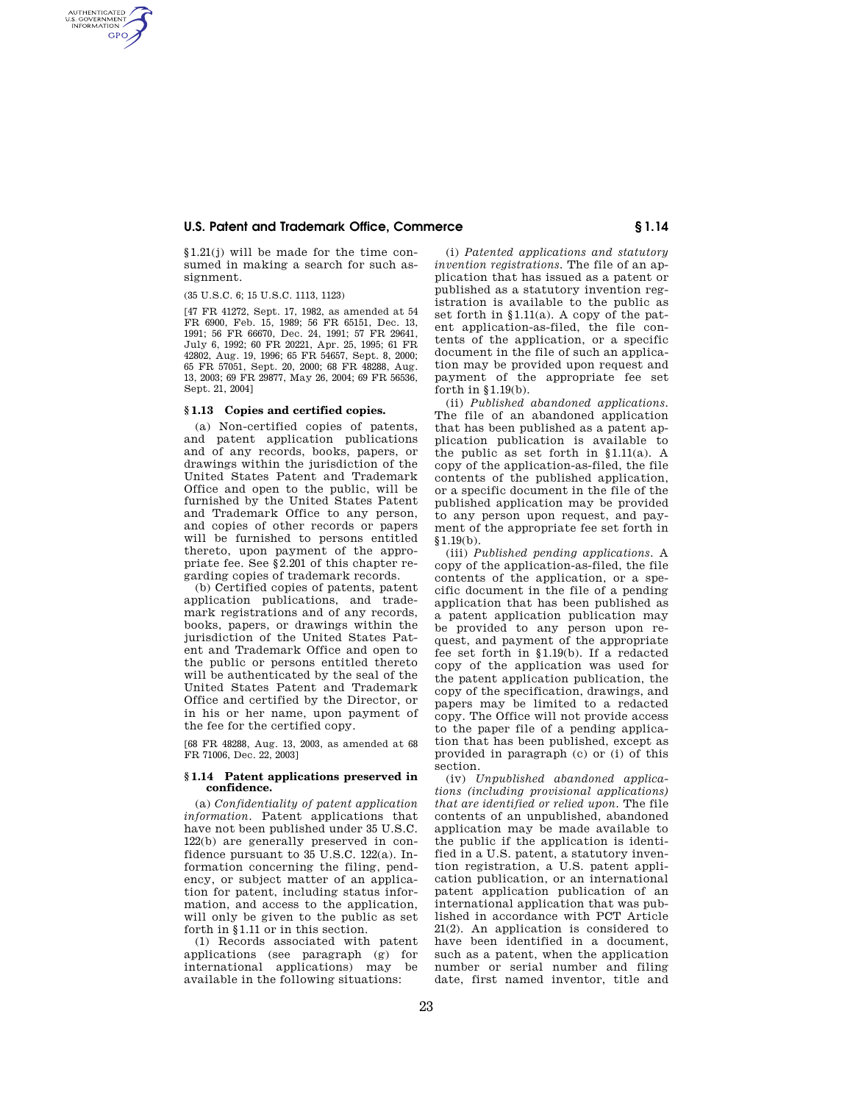## **U.S. Patent and Trademark Office, Commerce § 1.14**

§1.21(j) will be made for the time consumed in making a search for such assignment.

(35 U.S.C. 6; 15 U.S.C. 1113, 1123)

AUTHENTICATED<br>U.S. GOVERNMENT<br>INFORMATION **GPO** 

> [47 FR 41272, Sept. 17, 1982, as amended at 54 FR 6900, Feb. 15, 1989; 56 FR 65151, Dec. 13, 1991; 56 FR 66670, Dec. 24, 1991; 57 FR 29641, July 6, 1992; 60 FR 20221, Apr. 25, 1995; 61 FR 42802, Aug. 19, 1996; 65 FR 54657, Sept. 8, 2000; 65 FR 57051, Sept. 20, 2000; 68 FR 48288, Aug. 13, 2003; 69 FR 29877, May 26, 2004; 69 FR 56536, Sept. 21, 2004]

# **§ 1.13 Copies and certified copies.**

(a) Non-certified copies of patents, and patent application publications and of any records, books, papers, or drawings within the jurisdiction of the United States Patent and Trademark Office and open to the public, will be furnished by the United States Patent and Trademark Office to any person, and copies of other records or papers will be furnished to persons entitled thereto, upon payment of the appropriate fee. See §2.201 of this chapter regarding copies of trademark records.

(b) Certified copies of patents, patent application publications, and trademark registrations and of any records, books, papers, or drawings within the jurisdiction of the United States Patent and Trademark Office and open to the public or persons entitled thereto will be authenticated by the seal of the United States Patent and Trademark Office and certified by the Director, or in his or her name, upon payment of the fee for the certified copy.

[68 FR 48288, Aug. 13, 2003, as amended at 68 FR 71006, Dec. 22, 2003]

### **§ 1.14 Patent applications preserved in confidence.**

(a) *Confidentiality of patent application information.* Patent applications that have not been published under 35 U.S.C. 122(b) are generally preserved in confidence pursuant to 35 U.S.C. 122(a). Information concerning the filing, pendency, or subject matter of an application for patent, including status information, and access to the application, will only be given to the public as set forth in §1.11 or in this section.

(1) Records associated with patent applications (see paragraph (g) for international applications) may be available in the following situations:

(i) *Patented applications and statutory invention registrations.* The file of an application that has issued as a patent or published as a statutory invention registration is available to the public as set forth in §1.11(a). A copy of the patent application-as-filed, the file contents of the application, or a specific document in the file of such an application may be provided upon request and payment of the appropriate fee set forth in §1.19(b).

(ii) *Published abandoned applications.*  The file of an abandoned application that has been published as a patent application publication is available to the public as set forth in  $§1.11(a)$ . A copy of the application-as-filed, the file contents of the published application, or a specific document in the file of the published application may be provided to any person upon request, and payment of the appropriate fee set forth in  $§1.19(b).$ 

(iii) *Published pending applications.* A copy of the application-as-filed, the file contents of the application, or a specific document in the file of a pending application that has been published as a patent application publication may be provided to any person upon request, and payment of the appropriate fee set forth in §1.19(b). If a redacted copy of the application was used for the patent application publication, the copy of the specification, drawings, and papers may be limited to a redacted copy. The Office will not provide access to the paper file of a pending application that has been published, except as provided in paragraph (c) or (i) of this section.

(iv) *Unpublished abandoned applications (including provisional applications) that are identified or relied upon.* The file contents of an unpublished, abandoned application may be made available to the public if the application is identified in a U.S. patent, a statutory invention registration, a U.S. patent application publication, or an international patent application publication of an international application that was published in accordance with PCT Article 21(2). An application is considered to have been identified in a document, such as a patent, when the application number or serial number and filing date, first named inventor, title and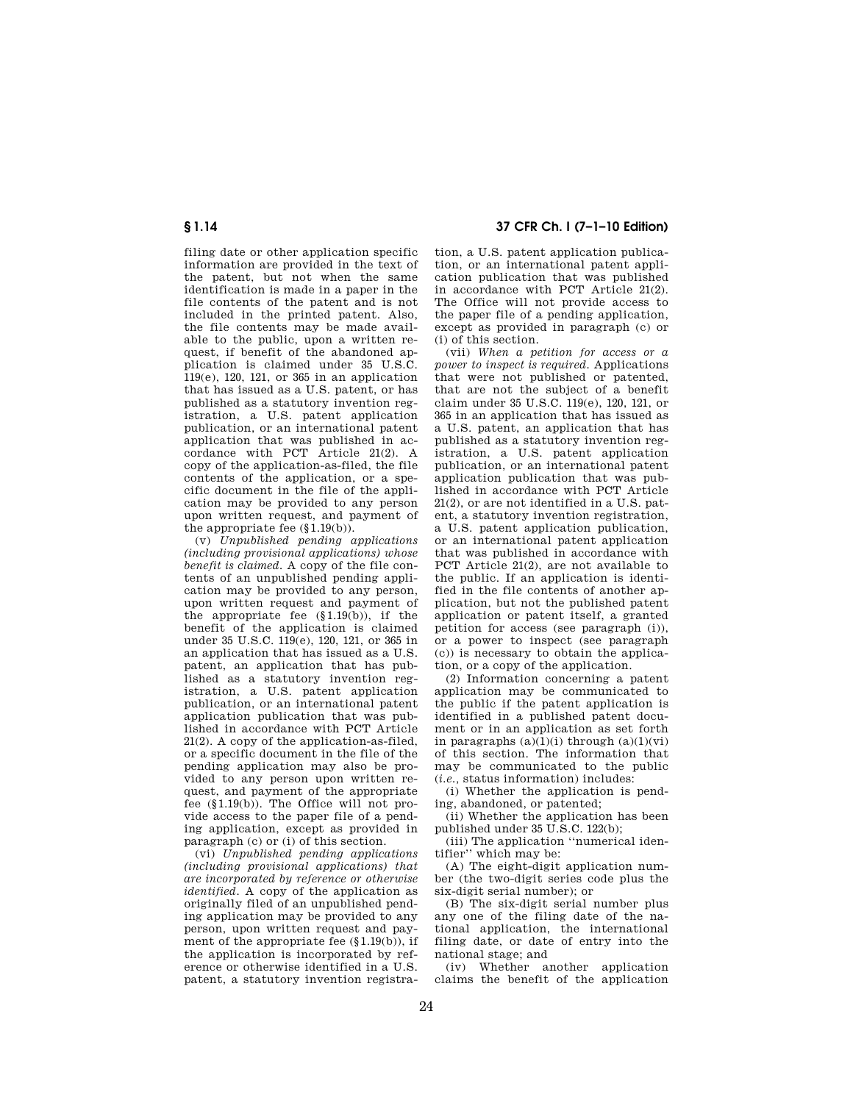# **§ 1.14 37 CFR Ch. I (7–1–10 Edition)**

filing date or other application specific information are provided in the text of the patent, but not when the same identification is made in a paper in the file contents of the patent and is not included in the printed patent. Also, the file contents may be made available to the public, upon a written request, if benefit of the abandoned application is claimed under 35 U.S.C. 119(e), 120, 121, or 365 in an application that has issued as a U.S. patent, or has published as a statutory invention registration, a U.S. patent application publication, or an international patent application that was published in accordance with PCT Article 21(2). A copy of the application-as-filed, the file contents of the application, or a specific document in the file of the application may be provided to any person upon written request, and payment of the appropriate fee (§1.19(b)).

(v) *Unpublished pending applications (including provisional applications) whose benefit is claimed.* A copy of the file contents of an unpublished pending application may be provided to any person, upon written request and payment of the appropriate fee  $(\S1.19(b))$ , if the benefit of the application is claimed under 35 U.S.C. 119(e), 120, 121, or 365 in an application that has issued as a U.S. patent, an application that has published as a statutory invention registration, a U.S. patent application publication, or an international patent application publication that was published in accordance with PCT Article 21(2). A copy of the application-as-filed, or a specific document in the file of the pending application may also be provided to any person upon written request, and payment of the appropriate fee (§1.19(b)). The Office will not provide access to the paper file of a pending application, except as provided in paragraph (c) or (i) of this section.

(vi) *Unpublished pending applications (including provisional applications) that are incorporated by reference or otherwise identified.* A copy of the application as originally filed of an unpublished pending application may be provided to any person, upon written request and payment of the appropriate fee (§1.19(b)), if the application is incorporated by reference or otherwise identified in a U.S. patent, a statutory invention registration, a U.S. patent application publication, or an international patent application publication that was published in accordance with PCT Article 21(2). The Office will not provide access to the paper file of a pending application, except as provided in paragraph (c) or (i) of this section.

(vii) *When a petition for access or a power to inspect is required.* Applications that were not published or patented, that are not the subject of a benefit claim under 35 U.S.C. 119(e), 120, 121, or 365 in an application that has issued as a U.S. patent, an application that has published as a statutory invention registration, a U.S. patent application publication, or an international patent application publication that was published in accordance with PCT Article 21(2), or are not identified in a U.S. patent, a statutory invention registration, a U.S. patent application publication, or an international patent application that was published in accordance with PCT Article 21(2), are not available to the public. If an application is identified in the file contents of another application, but not the published patent application or patent itself, a granted petition for access (see paragraph (i)), or a power to inspect (see paragraph (c)) is necessary to obtain the application, or a copy of the application.

(2) Information concerning a patent application may be communicated to the public if the patent application is identified in a published patent document or in an application as set forth in paragraphs  $(a)(1)(i)$  through  $(a)(1)(vi)$ of this section. The information that may be communicated to the public (*i.e.,* status information) includes:

(i) Whether the application is pending, abandoned, or patented;

(ii) Whether the application has been published under 35 U.S.C. 122(b);

(iii) The application ''numerical identifier'' which may be:

(A) The eight-digit application number (the two-digit series code plus the six-digit serial number); or

(B) The six-digit serial number plus any one of the filing date of the national application, the international filing date, or date of entry into the national stage; and

(iv) Whether another application claims the benefit of the application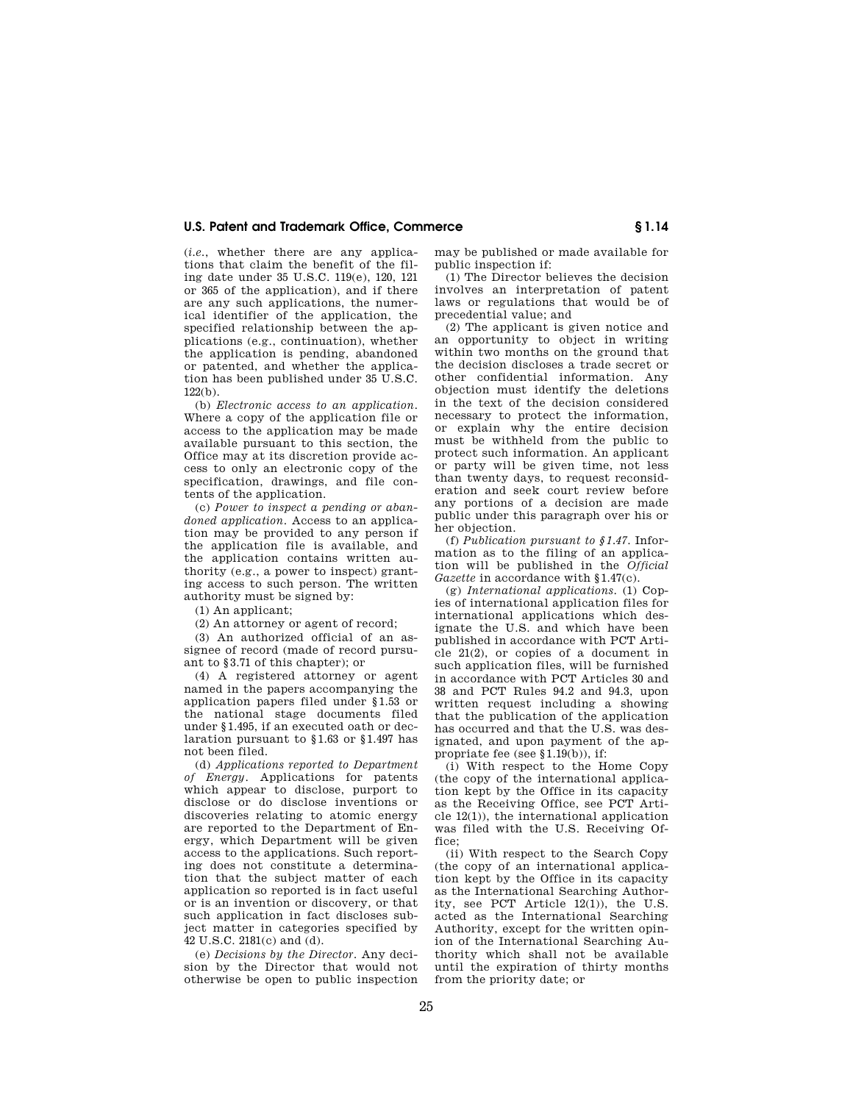## **U.S. Patent and Trademark Office, Commerce § 1.14**

(*i.e.*, whether there are any applications that claim the benefit of the filing date under 35 U.S.C. 119(e), 120, 121 or 365 of the application), and if there are any such applications, the numerical identifier of the application, the specified relationship between the applications (e.g., continuation), whether the application is pending, abandoned or patented, and whether the application has been published under 35 U.S.C. 122(b).

(b) *Electronic access to an application.*  Where a copy of the application file or access to the application may be made available pursuant to this section, the Office may at its discretion provide access to only an electronic copy of the specification, drawings, and file contents of the application.

(c) *Power to inspect a pending or abandoned application*. Access to an application may be provided to any person if the application file is available, and the application contains written authority (e.g., a power to inspect) granting access to such person. The written authority must be signed by:

(1) An applicant;

(2) An attorney or agent of record;

(3) An authorized official of an assignee of record (made of record pursuant to §3.71 of this chapter); or

(4) A registered attorney or agent named in the papers accompanying the application papers filed under §1.53 or the national stage documents filed under §1.495, if an executed oath or declaration pursuant to §1.63 or §1.497 has not been filed.

(d) *Applications reported to Department of Energy*. Applications for patents which appear to disclose, purport to disclose or do disclose inventions or discoveries relating to atomic energy are reported to the Department of Energy, which Department will be given access to the applications. Such reporting does not constitute a determination that the subject matter of each application so reported is in fact useful or is an invention or discovery, or that such application in fact discloses subject matter in categories specified by 42 U.S.C. 2181(c) and (d).

(e) *Decisions by the Director.* Any decision by the Director that would not otherwise be open to public inspection may be published or made available for public inspection if:

(1) The Director believes the decision involves an interpretation of patent laws or regulations that would be of precedential value; and

(2) The applicant is given notice and an opportunity to object in writing within two months on the ground that the decision discloses a trade secret or other confidential information. Any objection must identify the deletions in the text of the decision considered necessary to protect the information, or explain why the entire decision must be withheld from the public to protect such information. An applicant or party will be given time, not less than twenty days, to request reconsideration and seek court review before any portions of a decision are made public under this paragraph over his or her objection

(f) *Publication pursuant to §1.47*. Information as to the filing of an application will be published in the *Official Gazette* in accordance with §1.47(c).

(g) *International applications*. (1) Copies of international application files for international applications which designate the U.S. and which have been published in accordance with PCT Article 21(2), or copies of a document in such application files, will be furnished in accordance with PCT Articles 30 and 38 and PCT Rules 94.2 and 94.3, upon written request including a showing that the publication of the application has occurred and that the U.S. was designated, and upon payment of the appropriate fee (see §1.19(b)), if:

(i) With respect to the Home Copy (the copy of the international application kept by the Office in its capacity as the Receiving Office, see PCT Article 12(1)), the international application was filed with the U.S. Receiving Office;

(ii) With respect to the Search Copy (the copy of an international application kept by the Office in its capacity as the International Searching Authority, see PCT Article 12(1)), the U.S. acted as the International Searching Authority, except for the written opinion of the International Searching Authority which shall not be available until the expiration of thirty months from the priority date; or